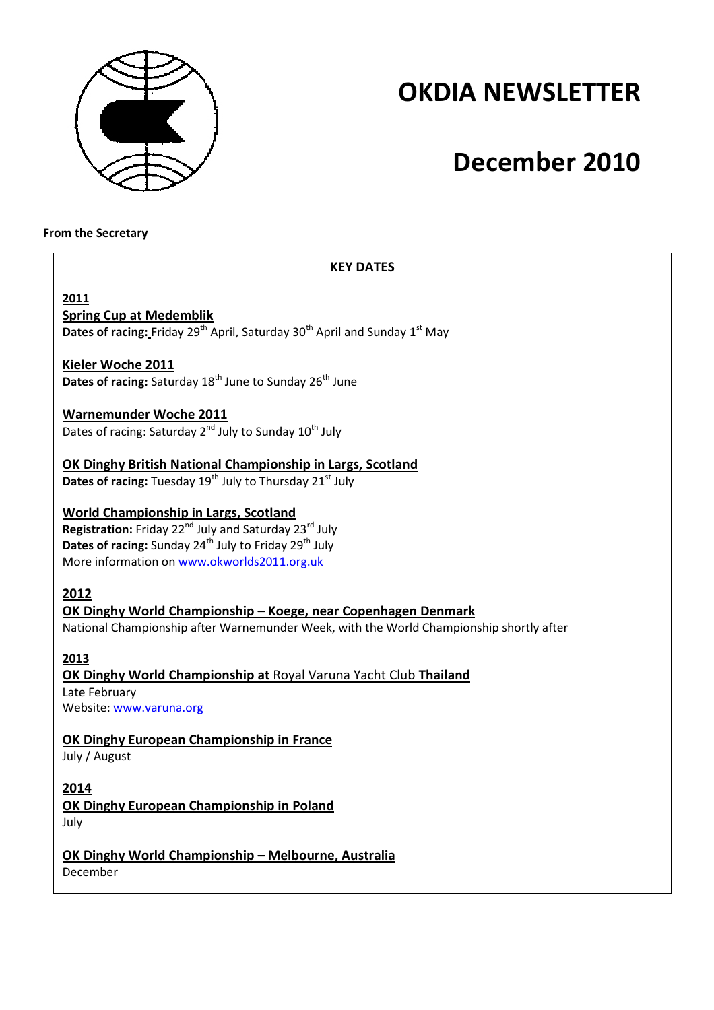

# **OKDIA NEWSLETTER**

# **December 2010**

#### **From the Secretary**

#### **KEY DATES**

**2011 Spring Cup at Medemblik** Dates of racing: Friday 29<sup>th</sup> April, Saturday 30<sup>th</sup> April and Sunday 1<sup>st</sup> May

### **Kieler Woche 2011**

**Dates of racing: Saturday 18<sup>th</sup> June to Sunday 26<sup>th</sup> June** 

#### **Warnemunder Woche 2011**

Dates of racing: Saturday  $2^{nd}$  July to Sunday  $10^{th}$  July

### **OK Dinghy British National Championship in Largs, Scotland**

**Dates of racing:** Tuesday 19<sup>th</sup> July to Thursday 21<sup>st</sup> July

### **World Championship in Largs, Scotland**

**Registration:** Friday 22<sup>nd</sup> July and Saturday 23<sup>rd</sup> July **Dates of racing:** Sunday 24<sup>th</sup> July to Friday 29<sup>th</sup> July More information on www.okworlds2011.org.uk

### **2012**

### **OK Dinghy World Championship – Koege, near Copenhagen Denmark**

National Championship after Warnemunder Week, with the World Championship shortly after

### **2013**

#### **OK Dinghy World Championship at** Royal Varuna Yacht Club **Thailand**  Late February Website: www.varuna.org

### **OK Dinghy European Championship in France**

July / August

#### **2014**

**OK Dinghy European Championship in Poland** July

## **OK Dinghy World Championship – Melbourne, Australia**

December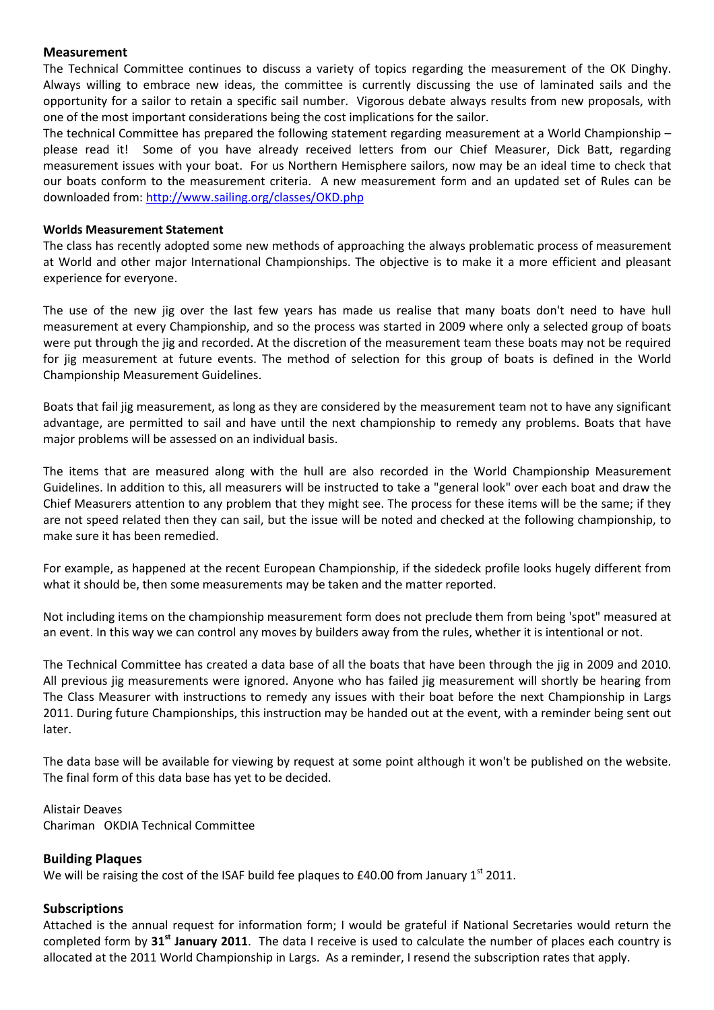#### **Measurement**

The Technical Committee continues to discuss a variety of topics regarding the measurement of the OK Dinghy. Always willing to embrace new ideas, the committee is currently discussing the use of laminated sails and the opportunity for a sailor to retain a specific sail number. Vigorous debate always results from new proposals, with one of the most important considerations being the cost implications for the sailor.

The technical Committee has prepared the following statement regarding measurement at a World Championship – please read it! Some of you have already received letters from our Chief Measurer, Dick Batt, regarding measurement issues with your boat. For us Northern Hemisphere sailors, now may be an ideal time to check that our boats conform to the measurement criteria. A new measurement form and an updated set of Rules can be downloaded from: http://www.sailing.org/classes/OKD.php

#### **Worlds Measurement Statement**

The class has recently adopted some new methods of approaching the always problematic process of measurement at World and other major International Championships. The objective is to make it a more efficient and pleasant experience for everyone.

The use of the new jig over the last few years has made us realise that many boats don't need to have hull measurement at every Championship, and so the process was started in 2009 where only a selected group of boats were put through the jig and recorded. At the discretion of the measurement team these boats may not be required for jig measurement at future events. The method of selection for this group of boats is defined in the World Championship Measurement Guidelines.

Boats that fail jig measurement, as long as they are considered by the measurement team not to have any significant advantage, are permitted to sail and have until the next championship to remedy any problems. Boats that have major problems will be assessed on an individual basis.

The items that are measured along with the hull are also recorded in the World Championship Measurement Guidelines. In addition to this, all measurers will be instructed to take a "general look" over each boat and draw the Chief Measurers attention to any problem that they might see. The process for these items will be the same; if they are not speed related then they can sail, but the issue will be noted and checked at the following championship, to make sure it has been remedied.

For example, as happened at the recent European Championship, if the sidedeck profile looks hugely different from what it should be, then some measurements may be taken and the matter reported.

Not including items on the championship measurement form does not preclude them from being 'spot" measured at an event. In this way we can control any moves by builders away from the rules, whether it is intentional or not.

The Technical Committee has created a data base of all the boats that have been through the jig in 2009 and 2010. All previous jig measurements were ignored. Anyone who has failed jig measurement will shortly be hearing from The Class Measurer with instructions to remedy any issues with their boat before the next Championship in Largs 2011. During future Championships, this instruction may be handed out at the event, with a reminder being sent out later.

The data base will be available for viewing by request at some point although it won't be published on the website. The final form of this data base has yet to be decided.

Alistair Deaves Chariman OKDIA Technical Committee

#### **Building Plaques**

We will be raising the cost of the ISAF build fee plaques to £40.00 from January  $1^{st}$  2011.

#### **Subscriptions**

Attached is the annual request for information form; I would be grateful if National Secretaries would return the completed form by **31st January 2011**. The data I receive is used to calculate the number of places each country is allocated at the 2011 World Championship in Largs. As a reminder, I resend the subscription rates that apply.